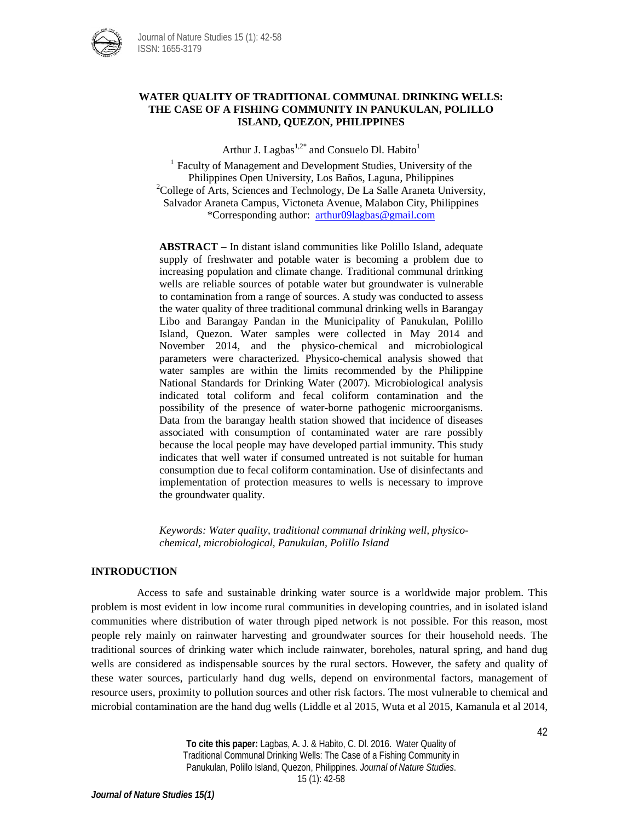

## **WATER QUALITY OF TRADITIONAL COMMUNAL DRINKING WELLS: THE CASE OF A FISHING COMMUNITY IN PANUKULAN, POLILLO ISLAND, QUEZON, PHILIPPINES**

Arthur J. Lagbas<sup>1,2\*</sup> and Consuelo Dl. Habito<sup>1</sup>

<sup>1</sup> Faculty of Management and Development Studies, University of the Philippines Open University, Los Baños, Laguna, Philippines <sup>2</sup>  $^{2}$ College of Arts, Sciences and Technology, De La Salle Araneta University, Salvador Araneta Campus, Victoneta Avenue, Malabon City, Philippines \*Corresponding author: [arthur09lagbas@gmail.com](mailto:arthur09lagbas@gmail.com) 

**ABSTRACT –** In distant island communities like Polillo Island, adequate supply of freshwater and potable water is becoming a problem due to increasing population and climate change. Traditional communal drinking wells are reliable sources of potable water but groundwater is vulnerable to contamination from a range of sources. A study was conducted to assess the water quality of three traditional communal drinking wells in Barangay Libo and Barangay Pandan in the Municipality of Panukulan, Polillo Island, Quezon. Water samples were collected in May 2014 and November 2014, and the physico-chemical and microbiological parameters were characterized. Physico-chemical analysis showed that water samples are within the limits recommended by the Philippine National Standards for Drinking Water (2007). Microbiological analysis indicated total coliform and fecal coliform contamination and the possibility of the presence of water-borne pathogenic microorganisms. Data from the barangay health station showed that incidence of diseases associated with consumption of contaminated water are rare possibly because the local people may have developed partial immunity. This study indicates that well water if consumed untreated is not suitable for human consumption due to fecal coliform contamination. Use of disinfectants and implementation of protection measures to wells is necessary to improve the groundwater quality.

*Keywords: Water quality, traditional communal drinking well, physicochemical, microbiological, Panukulan, Polillo Island*

## **INTRODUCTION**

Access to safe and sustainable drinking water source is a worldwide major problem. This problem is most evident in low income rural communities in developing countries, and in isolated island communities where distribution of water through piped network is not possible. For this reason, most people rely mainly on rainwater harvesting and groundwater sources for their household needs. The traditional sources of drinking water which include rainwater, boreholes, natural spring, and hand dug wells are considered as indispensable sources by the rural sectors. However, the safety and quality of these water sources, particularly hand dug wells, depend on environmental factors, management of resource users, proximity to pollution sources and other risk factors. The most vulnerable to chemical and microbial contamination are the hand dug wells (Liddle et al 2015, Wuta et al 2015, Kamanula et al 2014,

> **To cite this paper:** Lagbas, A. J. & Habito, C. Dl. 2016. Water Quality of Traditional Communal Drinking Wells: The Case of a Fishing Community in Panukulan, Polillo Island, Quezon, Philippines. *Journal of Nature Studies*. 15 (1): 42-58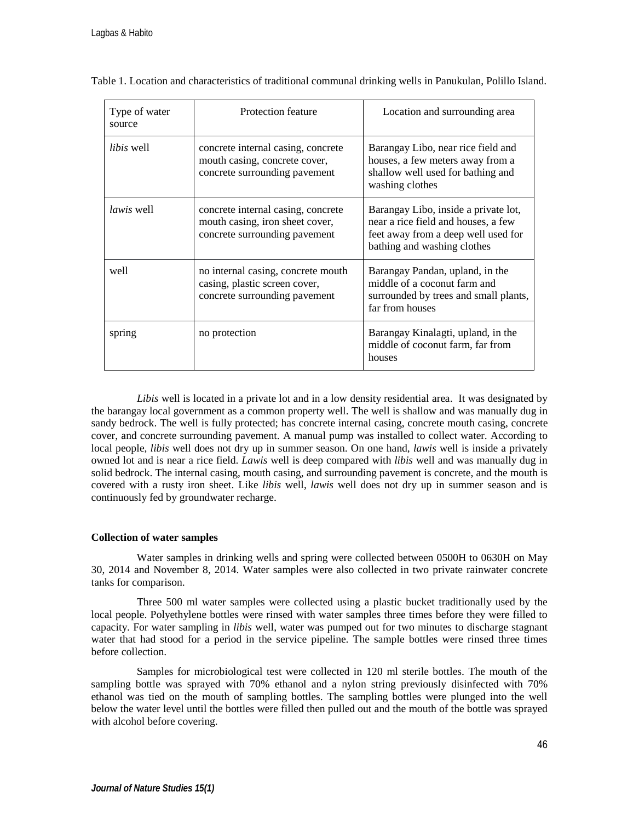| Type of water<br>source | Protection feature                                                                                     | Location and surrounding area                                                                                                                     |
|-------------------------|--------------------------------------------------------------------------------------------------------|---------------------------------------------------------------------------------------------------------------------------------------------------|
| libis well              | concrete internal casing, concrete<br>mouth casing, concrete cover,<br>concrete surrounding pavement   | Barangay Libo, near rice field and<br>houses, a few meters away from a<br>shallow well used for bathing and<br>washing clothes                    |
| <i>lawis</i> well       | concrete internal casing, concrete<br>mouth casing, iron sheet cover,<br>concrete surrounding pavement | Barangay Libo, inside a private lot,<br>near a rice field and houses, a few<br>feet away from a deep well used for<br>bathing and washing clothes |
| well                    | no internal casing, concrete mouth<br>casing, plastic screen cover,<br>concrete surrounding pavement   | Barangay Pandan, upland, in the<br>middle of a coconut farm and<br>surrounded by trees and small plants,<br>far from houses                       |
| spring                  | no protection                                                                                          | Barangay Kinalagti, upland, in the<br>middle of coconut farm, far from<br>houses                                                                  |

Table 1. Location and characteristics of traditional communal drinking wells in Panukulan, Polillo Island.

*Libis* well is located in a private lot and in a low density residential area. It was designated by the barangay local government as a common property well. The well is shallow and was manually dug in sandy bedrock. The well is fully protected; has concrete internal casing, concrete mouth casing, concrete cover, and concrete surrounding pavement. A manual pump was installed to collect water. According to local people, *libis* well does not dry up in summer season. On one hand, *lawis* well is inside a privately owned lot and is near a rice field. *Lawis* well is deep compared with *libis* well and was manually dug in solid bedrock. The internal casing, mouth casing, and surrounding pavement is concrete, and the mouth is covered with a rusty iron sheet. Like *libis* well, *lawis* well does not dry up in summer season and is continuously fed by groundwater recharge.

## **Collection of water samples**

Water samples in drinking wells and spring were collected between 0500H to 0630H on May 30, 2014 and November 8, 2014. Water samples were also collected in two private rainwater concrete tanks for comparison.

Three 500 ml water samples were collected using a plastic bucket traditionally used by the local people. Polyethylene bottles were rinsed with water samples three times before they were filled to capacity. For water sampling in *libis* well, water was pumped out for two minutes to discharge stagnant water that had stood for a period in the service pipeline. The sample bottles were rinsed three times before collection.

Samples for microbiological test were collected in 120 ml sterile bottles. The mouth of the sampling bottle was sprayed with 70% ethanol and a nylon string previously disinfected with 70% ethanol was tied on the mouth of sampling bottles. The sampling bottles were plunged into the well below the water level until the bottles were filled then pulled out and the mouth of the bottle was sprayed with alcohol before covering.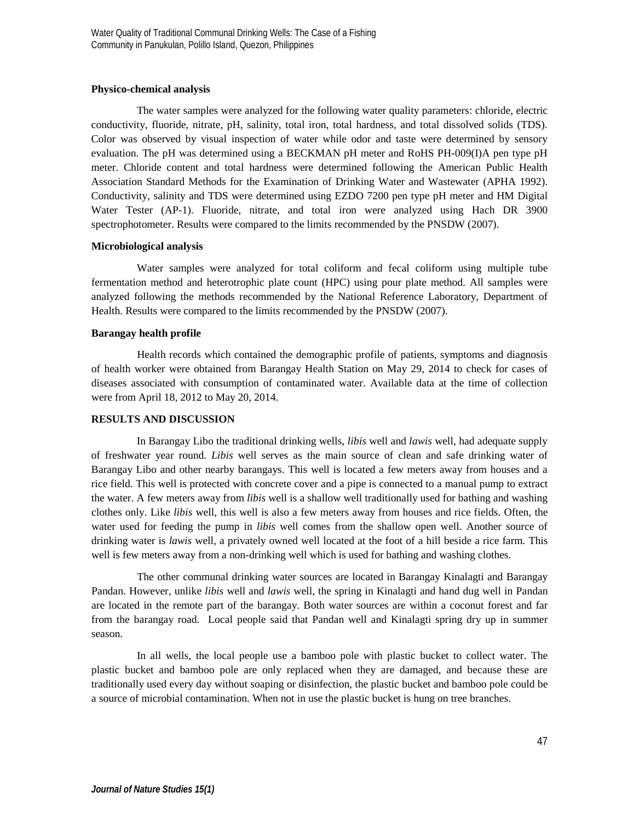## **Physico-chemical analysis**

The water samples were analyzed for the following water quality parameters: chloride, electric conductivity, fluoride, nitrate, pH, salinity, total iron, total hardness, and total dissolved solids (TDS). Color was observed by visual inspection of water while odor and taste were determined by sensory evaluation. The pH was determined using a BECKMAN pH meter and RoHS PH-009(I)A pen type pH meter. Chloride content and total hardness were determined following the American Public Health Association Standard Methods for the Examination of Drinking Water and Wastewater (APHA 1992). Conductivity, salinity and TDS were determined using EZDO 7200 pen type pH meter and HM Digital Water Tester (AP-1). Fluoride, nitrate, and total iron were analyzed using Hach DR 3900 spectrophotometer. Results were compared to the limits recommended by the PNSDW (2007).

## **Microbiological analysis**

Water samples were analyzed for total coliform and fecal coliform using multiple tube fermentation method and heterotrophic plate count (HPC) using pour plate method. All samples were analyzed following the methods recommended by the National Reference Laboratory, Department of Health. Results were compared to the limits recommended by the PNSDW (2007).

## **Barangay health profile**

Health records which contained the demographic profile of patients, symptoms and diagnosis of health worker were obtained from Barangay Health Station on May 29, 2014 to check for cases of diseases associated with consumption of contaminated water. Available data at the time of collection were from April 18, 2012 to May 20, 2014.

## **RESULTS AND DISCUSSION**

In Barangay Libo the traditional drinking wells, *libis* well and *lawis* well, had adequate supply of freshwater year round. *Libis* well serves as the main source of clean and safe drinking water of Barangay Libo and other nearby barangays. This well is located a few meters away from houses and a rice field. This well is protected with concrete cover and a pipe is connected to a manual pump to extract the water. A few meters away from *libis* well is a shallow well traditionally used for bathing and washing clothes only. Like *libis* well, this well is also a few meters away from houses and rice fields. Often, the water used for feeding the pump in *libis* well comes from the shallow open well. Another source of drinking water is *lawis* well, a privately owned well located at the foot of a hill beside a rice farm. This well is few meters away from a non-drinking well which is used for bathing and washing clothes.

The other communal drinking water sources are located in Barangay Kinalagti and Barangay Pandan. However, unlike *libis* well and *lawis* well, the spring in Kinalagti and hand dug well in Pandan are located in the remote part of the barangay. Both water sources are within a coconut forest and far from the barangay road. Local people said that Pandan well and Kinalagti spring dry up in summer season.

In all wells, the local people use a bamboo pole with plastic bucket to collect water. The plastic bucket and bamboo pole are only replaced when they are damaged, and because these are traditionally used every day without soaping or disinfection, the plastic bucket and bamboo pole could be a source of microbial contamination. When not in use the plastic bucket is hung on tree branches.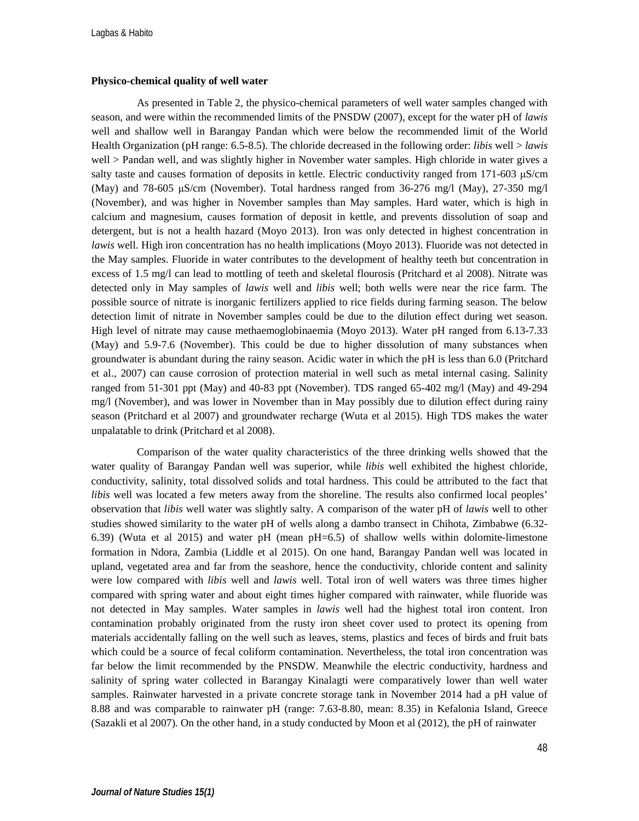### **Physico-chemical quality of well water**

As presented in Table 2, the physico-chemical parameters of well water samples changed with season, and were within the recommended limits of the PNSDW (2007), except for the water pH of *lawis* well and shallow well in Barangay Pandan which were below the recommended limit of the World Health Organization (pH range: 6.5-8.5). The chloride decreased in the following order: *libis* well > *lawis* well > Pandan well, and was slightly higher in November water samples. High chloride in water gives a salty taste and causes formation of deposits in kettle. Electric conductivity ranged from 171-603 μS/cm (May) and 78-605 μS/cm (November). Total hardness ranged from 36-276 mg/l (May), 27-350 mg/l (November), and was higher in November samples than May samples. Hard water, which is high in calcium and magnesium, causes formation of deposit in kettle, and prevents dissolution of soap and detergent, but is not a health hazard (Moyo 2013). Iron was only detected in highest concentration in *lawis* well. High iron concentration has no health implications (Moyo 2013). Fluoride was not detected in the May samples. Fluoride in water contributes to the development of healthy teeth but concentration in excess of 1.5 mg/l can lead to mottling of teeth and skeletal flourosis (Pritchard et al 2008). Nitrate was detected only in May samples of *lawis* well and *libis* well; both wells were near the rice farm. The possible source of nitrate is inorganic fertilizers applied to rice fields during farming season. The below detection limit of nitrate in November samples could be due to the dilution effect during wet season. High level of nitrate may cause methaemoglobinaemia (Moyo 2013). Water pH ranged from 6.13-7.33 (May) and 5.9-7.6 (November). This could be due to higher dissolution of many substances when groundwater is abundant during the rainy season. Acidic water in which the pH is less than 6.0 (Pritchard et al., 2007) can cause corrosion of protection material in well such as metal internal casing. Salinity ranged from 51-301 ppt (May) and 40-83 ppt (November). TDS ranged 65-402 mg/l (May) and 49-294 mg/l (November), and was lower in November than in May possibly due to dilution effect during rainy season (Pritchard et al 2007) and groundwater recharge (Wuta et al 2015). High TDS makes the water unpalatable to drink (Pritchard et al 2008).

Comparison of the water quality characteristics of the three drinking wells showed that the water quality of Barangay Pandan well was superior, while *libis* well exhibited the highest chloride, conductivity, salinity, total dissolved solids and total hardness. This could be attributed to the fact that *libis* well was located a few meters away from the shoreline. The results also confirmed local peoples' observation that *libis* well water was slightly salty. A comparison of the water pH of *lawis* well to other studies showed similarity to the water pH of wells along a dambo transect in Chihota, Zimbabwe (6.32- 6.39) (Wuta et al 2015) and water pH (mean pH=6.5) of shallow wells within dolomite-limestone formation in Ndora, Zambia (Liddle et al 2015). On one hand, Barangay Pandan well was located in upland, vegetated area and far from the seashore, hence the conductivity, chloride content and salinity were low compared with *libis* well and *lawis* well. Total iron of well waters was three times higher compared with spring water and about eight times higher compared with rainwater, while fluoride was not detected in May samples. Water samples in *lawis* well had the highest total iron content. Iron contamination probably originated from the rusty iron sheet cover used to protect its opening from materials accidentally falling on the well such as leaves, stems, plastics and feces of birds and fruit bats which could be a source of fecal coliform contamination. Nevertheless, the total iron concentration was far below the limit recommended by the PNSDW. Meanwhile the electric conductivity, hardness and salinity of spring water collected in Barangay Kinalagti were comparatively lower than well water samples. Rainwater harvested in a private concrete storage tank in November 2014 had a pH value of 8.88 and was comparable to rainwater pH (range: 7.63-8.80, mean: 8.35) in Kefalonia Island, Greece (Sazakli et al 2007). On the other hand, in a study conducted by Moon et al (2012), the pH of rainwater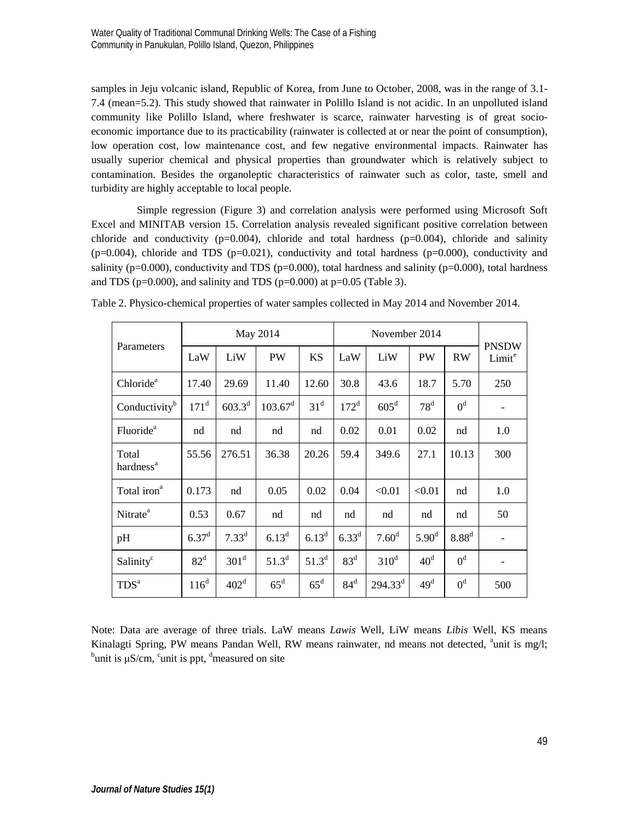samples in Jeju volcanic island, Republic of Korea, from June to October, 2008, was in the range of 3.1- 7.4 (mean=5.2). This study showed that rainwater in Polillo Island is not acidic. In an unpolluted island community like Polillo Island, where freshwater is scarce, rainwater harvesting is of great socioeconomic importance due to its practicability (rainwater is collected at or near the point of consumption), low operation cost, low maintenance cost, and few negative environmental impacts. Rainwater has usually superior chemical and physical properties than groundwater which is relatively subject to contamination. Besides the organoleptic characteristics of rainwater such as color, taste, smell and turbidity are highly acceptable to local people.

Simple regression (Figure 3) and correlation analysis were performed using Microsoft Soft Excel and MINITAB version 15. Correlation analysis revealed significant positive correlation between chloride and conductivity (p=0.004), chloride and total hardness (p=0.004), chloride and salinity  $(p=0.004)$ , chloride and TDS  $(p=0.021)$ , conductivity and total hardness  $(p=0.000)$ , conductivity and salinity ( $p=0.000$ ), conductivity and TDS ( $p=0.000$ ), total hardness and salinity ( $p=0.000$ ), total hardness and TDS ( $p=0.000$ ), and salinity and TDS ( $p=0.000$ ) at  $p=0.05$  (Table 3).

| Parameters                     | May 2014         |                  |                     | November 2014   |                  |                   |                   |                   |                                    |
|--------------------------------|------------------|------------------|---------------------|-----------------|------------------|-------------------|-------------------|-------------------|------------------------------------|
|                                | LaW              | LiW              | PW                  | <b>KS</b>       | LaW              | LiW               | PW                | <b>RW</b>         | <b>PNSDW</b><br>Limit <sup>e</sup> |
| Chloride <sup>a</sup>          | 17.40            | 29.69            | 11.40               | 12.60           | 30.8             | 43.6              | 18.7              | 5.70              | 250                                |
| Conductivity <sup>b</sup>      | 171 <sup>d</sup> | $603.3^{d}$      | 103.67 <sup>d</sup> | 31 <sup>d</sup> | 172 <sup>d</sup> | $605^{\rm d}$     | $78^d$            | 0 <sup>d</sup>    |                                    |
| Fluoride <sup>a</sup>          | nd               | nd               | nd                  | nd              | 0.02             | 0.01              | 0.02              | nd                | 1.0                                |
| Total<br>hardness <sup>a</sup> | 55.56            | 276.51           | 36.38               | 20.26           | 59.4             | 349.6             | 27.1              | 10.13             | 300                                |
| Total iron <sup>a</sup>        | 0.173            | nd               | 0.05                | 0.02            | 0.04             | < 0.01            | < 0.01            | nd                | 1.0                                |
| Nitrate <sup>a</sup>           | 0.53             | 0.67             | nd                  | nd              | nd               | nd                | nd                | nd                | 50                                 |
| pH                             | $6.37^{\rm d}$   | $7.33^d$         | $6.13^{d}$          | $6.13^{d}$      | $6.33^{d}$       | 7.60 <sup>d</sup> | 5.90 <sup>d</sup> | 8.88 <sup>d</sup> |                                    |
| Salinity <sup>c</sup>          | 82 <sup>d</sup>  | 301 <sup>d</sup> | $51.3^{d}$          | $51.3^{d}$      | 83 <sup>d</sup>  | $310^d$           | 40 <sup>d</sup>   | 0 <sup>d</sup>    | $\overline{\phantom{a}}$           |
| TDS <sup>a</sup>               | $116^d$          | 402 <sup>d</sup> | $65^d$              | $65^d$          | $84^d$           | $294.33^d$        | 49 <sup>d</sup>   | 0 <sup>d</sup>    | 500                                |

Table 2. Physico-chemical properties of water samples collected in May 2014 and November 2014.

Note: Data are average of three trials. LaW means *Lawis* Well, LiW means *Libis* Well, KS means Kinalagti Spring, PW means Pandan Well, RW means rainwater, nd means not detected, <sup>a</sup>unit is mg/l;  $b_{\text{unit}}$  is  $\mu$ s  $S/\text{cm}$ ,  $\frac{c_{\text{unit}}}{2}$  is not  $\frac{d_{\text{non}}}{2}$  and  $\frac{d_{\text{non}}}{2}$  and  $\frac{d_{\text{non}}}{2}$  and  $\frac{d_{\text{$ unit is μS/cm, <sup>c</sup>unit is ppt, <sup>d</sup>measured on site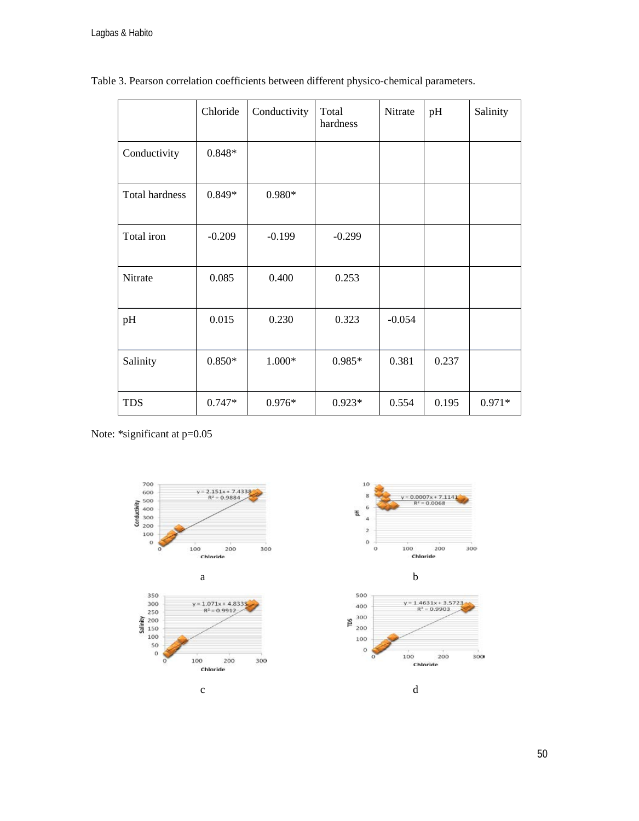$\overline{a}$ 

|                | Chloride | Conductivity | Total<br>hardness | Nitrate  | pH    | Salinity |
|----------------|----------|--------------|-------------------|----------|-------|----------|
| Conductivity   | 0.848*   |              |                   |          |       |          |
| Total hardness | $0.849*$ | $0.980*$     |                   |          |       |          |
| Total iron     | $-0.209$ | $-0.199$     | $-0.299$          |          |       |          |
| Nitrate        | 0.085    | 0.400        | 0.253             |          |       |          |
| pH             | 0.015    | 0.230        | 0.323             | $-0.054$ |       |          |
| Salinity       | $0.850*$ | 1.000*       | $0.985*$          | 0.381    | 0.237 |          |
| <b>TDS</b>     | $0.747*$ | $0.976*$     | $0.923*$          | 0.554    | 0.195 | $0.971*$ |

Table 3. Pearson correlation coefficients between different physico-chemical parameters.

Note: \*significant at p=0.05



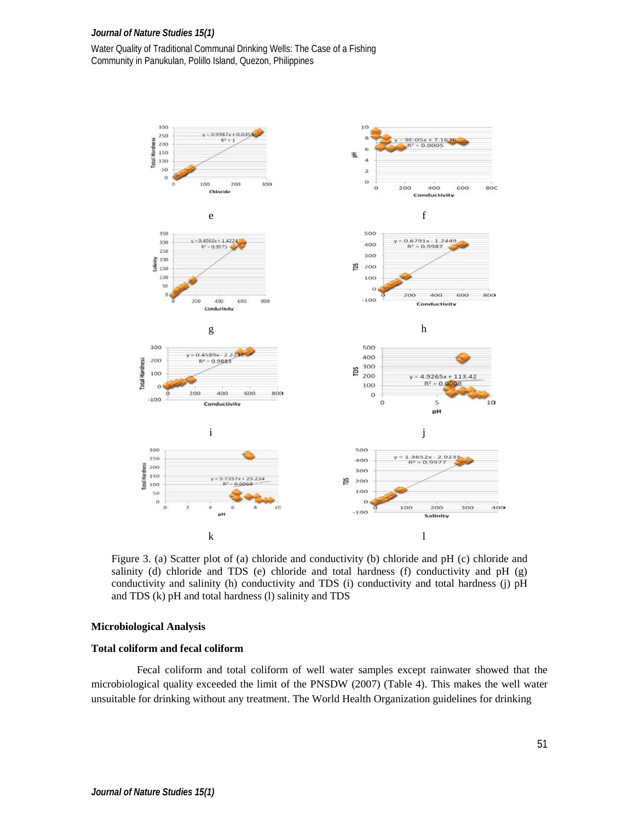## *Journal of Nature Studies 15(1)*

Water Quality of Traditional Communal Drinking Wells: The Case of a Fishing Community in Panukulan, Polillo Island, Quezon, Philippines



Figure 3. (a) Scatter plot of (a) chloride and conductivity (b) chloride and pH (c) chloride and salinity (d) chloride and TDS (e) chloride and total hardness (f) conductivity and  $pH$  (g) conductivity and salinity (h) conductivity and TDS (i) conductivity and total hardness (j) pH and TDS (k) pH and total hardness (l) salinity and TDS

### **Microbiological Analysis**

## **Total coliform and fecal coliform**

Fecal coliform and total coliform of well water samples except rainwater showed that the microbiological quality exceeded the limit of the PNSDW (2007) (Table 4). This makes the well water unsuitable for drinking without any treatment. The World Health Organization guidelines for drinking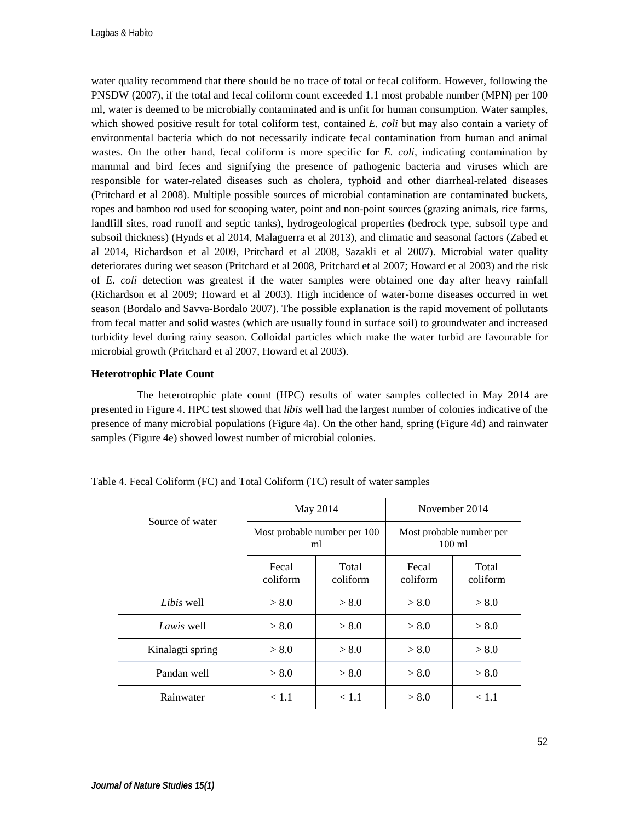water quality recommend that there should be no trace of total or fecal coliform. However, following the PNSDW (2007), if the total and fecal coliform count exceeded 1.1 most probable number (MPN) per 100 ml, water is deemed to be microbially contaminated and is unfit for human consumption. Water samples, which showed positive result for total coliform test, contained *E. coli* but may also contain a variety of environmental bacteria which do not necessarily indicate fecal contamination from human and animal wastes. On the other hand, fecal coliform is more specific for *E. coli,* indicating contamination by mammal and bird feces and signifying the presence of pathogenic bacteria and viruses which are responsible for water-related diseases such as cholera, typhoid and other diarrheal-related diseases (Pritchard et al 2008). Multiple possible sources of microbial contamination are contaminated buckets, ropes and bamboo rod used for scooping water, point and non-point sources (grazing animals, rice farms, landfill sites, road runoff and septic tanks), hydrogeological properties (bedrock type, subsoil type and subsoil thickness) (Hynds et al 2014, Malaguerra et al 2013), and climatic and seasonal factors (Zabed et al 2014, Richardson et al 2009, Pritchard et al 2008, Sazakli et al 2007). Microbial water quality deteriorates during wet season (Pritchard et al 2008, Pritchard et al 2007; Howard et al 2003) and the risk of *E. coli* detection was greatest if the water samples were obtained one day after heavy rainfall (Richardson et al 2009; Howard et al 2003). High incidence of water-borne diseases occurred in wet season (Bordalo and Savva-Bordalo 2007). The possible explanation is the rapid movement of pollutants from fecal matter and solid wastes (which are usually found in surface soil) to groundwater and increased turbidity level during rainy season. Colloidal particles which make the water turbid are favourable for microbial growth (Pritchard et al 2007, Howard et al 2003).

## **Heterotrophic Plate Count**

The heterotrophic plate count (HPC) results of water samples collected in May 2014 are presented in Figure 4. HPC test showed that *libis* well had the largest number of colonies indicative of the presence of many microbial populations (Figure 4a). On the other hand, spring (Figure 4d) and rainwater samples (Figure 4e) showed lowest number of microbial colonies.

|                  |                   | May 2014                           | November 2014                        |                   |  |
|------------------|-------------------|------------------------------------|--------------------------------------|-------------------|--|
| Source of water  |                   | Most probable number per 100<br>ml | Most probable number per<br>$100$ ml |                   |  |
|                  | Fecal<br>coliform | Total<br>coliform                  | Fecal<br>coliform                    | Total<br>coliform |  |
| Libis well       | > 8.0             | > 8.0                              | > 8.0                                | > 8.0             |  |
| Lawis well       | > 8.0             | > 8.0                              | > 8.0                                | > 8.0             |  |
| Kinalagti spring | > 8.0             | > 8.0                              | > 8.0                                | > 8.0             |  |
| Pandan well      | > 8.0             | > 8.0                              | > 8.0                                | > 8.0             |  |
| Rainwater        | < 1.1             | < 1.1                              | > 8.0                                | < 1.1             |  |

Table 4. Fecal Coliform (FC) and Total Coliform (TC) result of water samples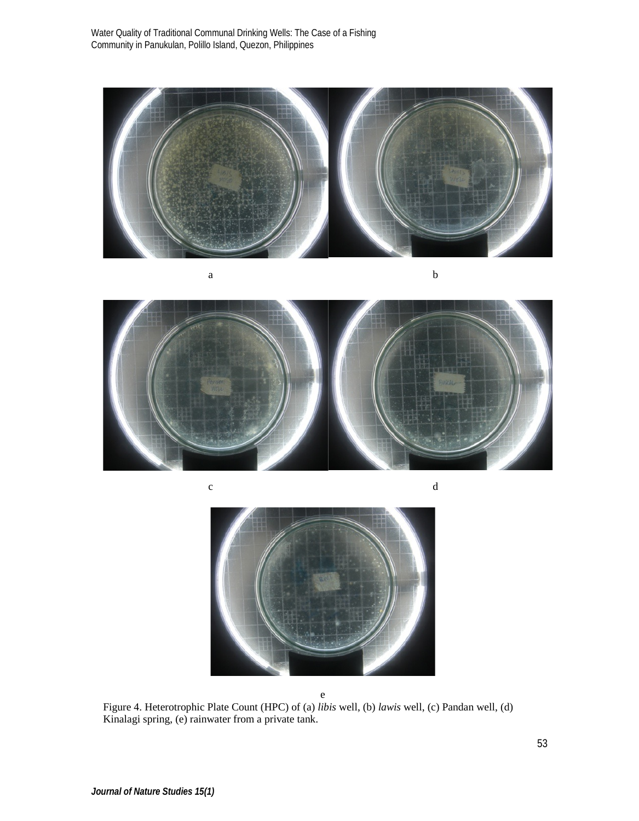Water Quality of Traditional Communal Drinking Wells: The Case of a Fishing Community in Panukulan, Polillo Island, Quezon, Philippines



a b

c d



e Figure 4. Heterotrophic Plate Count (HPC) of (a) *libis* well, (b) *lawis* well, (c) Pandan well, (d) Kinalagi spring, (e) rainwater from a private tank.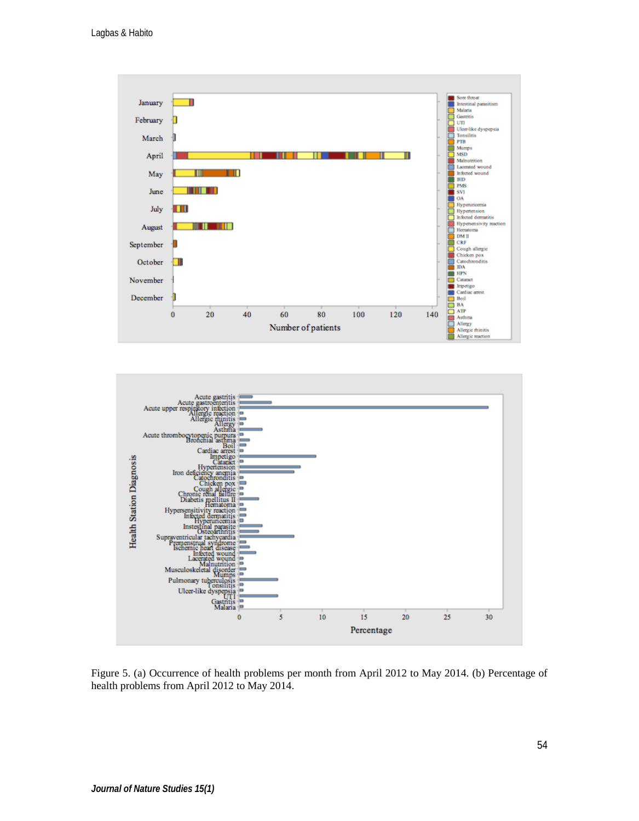



Figure 5. (a) Occurrence of health problems per month from April 2012 to May 2014. (b) Percentage of health problems from April 2012 to May 2014.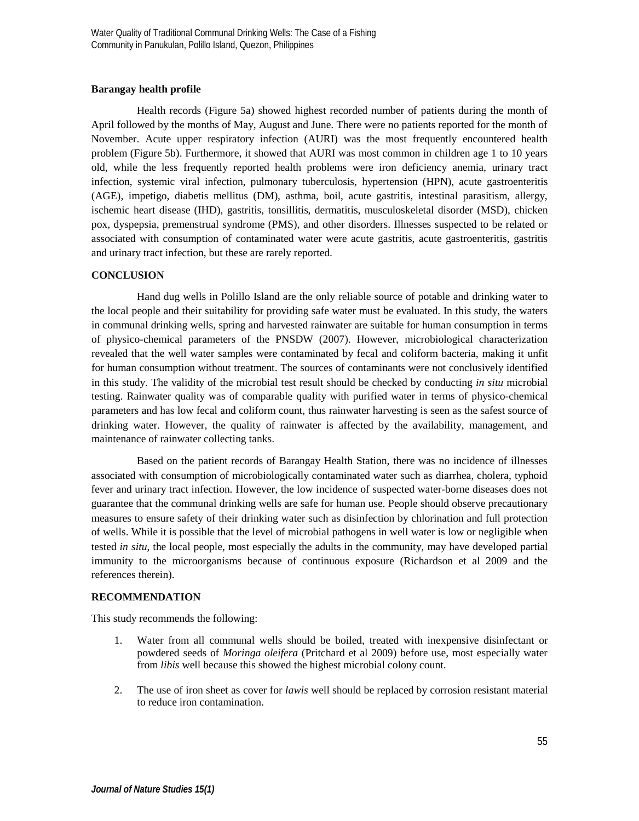## **Barangay health profile**

Health records (Figure 5a) showed highest recorded number of patients during the month of April followed by the months of May, August and June. There were no patients reported for the month of November. Acute upper respiratory infection (AURI) was the most frequently encountered health problem (Figure 5b). Furthermore, it showed that AURI was most common in children age 1 to 10 years old, while the less frequently reported health problems were iron deficiency anemia, urinary tract infection, systemic viral infection, pulmonary tuberculosis, hypertension (HPN), acute gastroenteritis (AGE), impetigo, diabetis mellitus (DM), asthma, boil, acute gastritis, intestinal parasitism, allergy, ischemic heart disease (IHD), gastritis, tonsillitis, dermatitis, musculoskeletal disorder (MSD), chicken pox, dyspepsia, premenstrual syndrome (PMS), and other disorders. Illnesses suspected to be related or associated with consumption of contaminated water were acute gastritis, acute gastroenteritis, gastritis and urinary tract infection, but these are rarely reported.

# **CONCLUSION**

Hand dug wells in Polillo Island are the only reliable source of potable and drinking water to the local people and their suitability for providing safe water must be evaluated. In this study, the waters in communal drinking wells, spring and harvested rainwater are suitable for human consumption in terms of physico-chemical parameters of the PNSDW (2007). However, microbiological characterization revealed that the well water samples were contaminated by fecal and coliform bacteria, making it unfit for human consumption without treatment. The sources of contaminants were not conclusively identified in this study. The validity of the microbial test result should be checked by conducting *in situ* microbial testing. Rainwater quality was of comparable quality with purified water in terms of physico-chemical parameters and has low fecal and coliform count, thus rainwater harvesting is seen as the safest source of drinking water. However, the quality of rainwater is affected by the availability, management, and maintenance of rainwater collecting tanks.

Based on the patient records of Barangay Health Station, there was no incidence of illnesses associated with consumption of microbiologically contaminated water such as diarrhea, cholera, typhoid fever and urinary tract infection. However, the low incidence of suspected water-borne diseases does not guarantee that the communal drinking wells are safe for human use. People should observe precautionary measures to ensure safety of their drinking water such as disinfection by chlorination and full protection of wells. While it is possible that the level of microbial pathogens in well water is low or negligible when tested *in situ*, the local people, most especially the adults in the community, may have developed partial immunity to the microorganisms because of continuous exposure (Richardson et al 2009 and the references therein).

## **RECOMMENDATION**

This study recommends the following:

- 1. Water from all communal wells should be boiled, treated with inexpensive disinfectant or powdered seeds of *Moringa oleifera* (Pritchard et al 2009) before use, most especially water from *libis* well because this showed the highest microbial colony count.
- 2. The use of iron sheet as cover for *lawis* well should be replaced by corrosion resistant material to reduce iron contamination.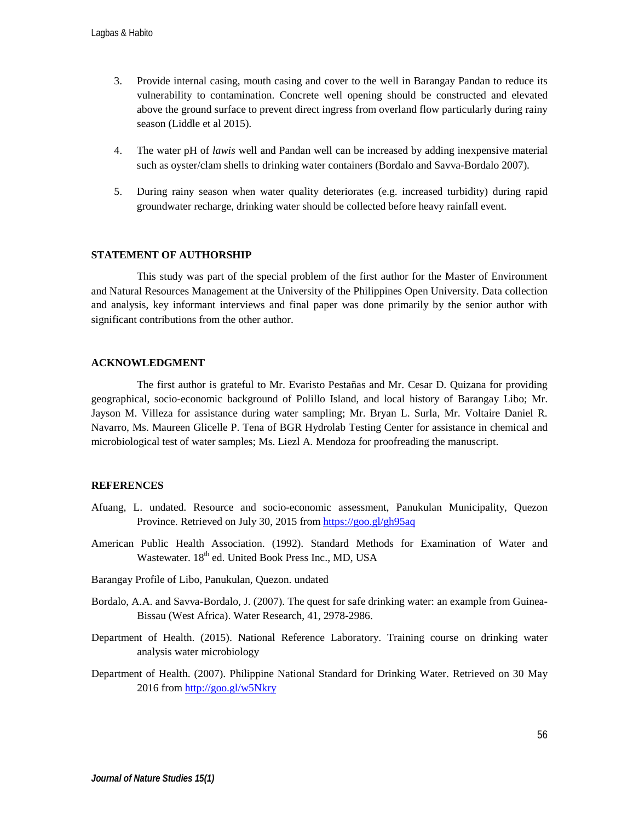- 3. Provide internal casing, mouth casing and cover to the well in Barangay Pandan to reduce its vulnerability to contamination. Concrete well opening should be constructed and elevated above the ground surface to prevent direct ingress from overland flow particularly during rainy season (Liddle et al 2015).
- 4. The water pH of *lawis* well and Pandan well can be increased by adding inexpensive material such as oyster/clam shells to drinking water containers (Bordalo and Savva-Bordalo 2007).
- 5. During rainy season when water quality deteriorates (e.g. increased turbidity) during rapid groundwater recharge, drinking water should be collected before heavy rainfall event.

### **STATEMENT OF AUTHORSHIP**

This study was part of the special problem of the first author for the Master of Environment and Natural Resources Management at the University of the Philippines Open University. Data collection and analysis, key informant interviews and final paper was done primarily by the senior author with significant contributions from the other author.

#### **ACKNOWLEDGMENT**

The first author is grateful to Mr. Evaristo Pestañas and Mr. Cesar D. Quizana for providing geographical, socio-economic background of Polillo Island, and local history of Barangay Libo; Mr. Jayson M. Villeza for assistance during water sampling; Mr. Bryan L. Surla, Mr. Voltaire Daniel R. Navarro, Ms. Maureen Glicelle P. Tena of BGR Hydrolab Testing Center for assistance in chemical and microbiological test of water samples; Ms. Liezl A. Mendoza for proofreading the manuscript.

### **REFERENCES**

- Afuang, L. undated. Resource and socio-economic assessment, Panukulan Municipality, Quezon Province. Retrieved on July 30, 2015 from <https://goo.gl/gh95aq>
- American Public Health Association. (1992). Standard Methods for Examination of Water and Wastewater. 18<sup>th</sup> ed. United Book Press Inc., MD, USA
- Barangay Profile of Libo, Panukulan, Quezon. undated
- Bordalo, A.A. and Savva-Bordalo, J. (2007). The quest for safe drinking water: an example from Guinea-Bissau (West Africa). Water Research, 41, 2978-2986.
- Department of Health. (2015). National Reference Laboratory. Training course on drinking water analysis water microbiology
- Department of Health. (2007). Philippine National Standard for Drinking Water. Retrieved on 30 May 2016 from <http://goo.gl/w5Nkry>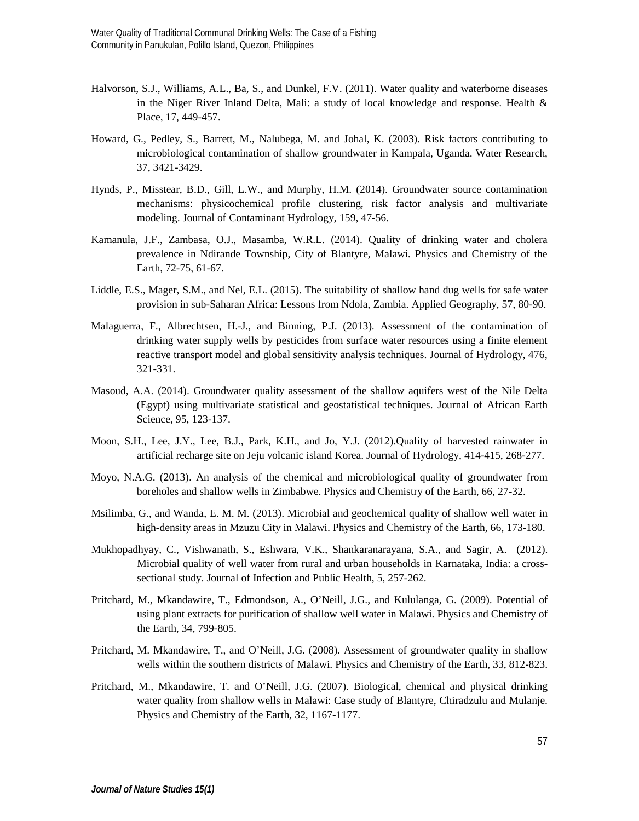- Halvorson, S.J., Williams, A.L., Ba, S., and Dunkel, F.V. (2011). Water quality and waterborne diseases in the Niger River Inland Delta, Mali: a study of local knowledge and response. Health  $\&$ Place, 17, 449-457.
- Howard, G., Pedley, S., Barrett, M., Nalubega, M. and Johal, K. (2003). Risk factors contributing to microbiological contamination of shallow groundwater in Kampala, Uganda. Water Research, 37, 3421-3429.
- Hynds, P., Misstear, B.D., Gill, L.W., and Murphy, H.M. (2014). Groundwater source contamination mechanisms: physicochemical profile clustering, risk factor analysis and multivariate modeling. Journal of Contaminant Hydrology, 159, 47-56.
- Kamanula, J.F., Zambasa, O.J., Masamba, W.R.L. (2014). Quality of drinking water and cholera prevalence in Ndirande Township, City of Blantyre, Malawi. Physics and Chemistry of the Earth, 72-75, 61-67.
- Liddle, E.S., Mager, S.M., and Nel, E.L. (2015). The suitability of shallow hand dug wells for safe water provision in sub-Saharan Africa: Lessons from Ndola, Zambia. Applied Geography, 57, 80-90.
- Malaguerra, F., Albrechtsen, H.-J., and Binning, P.J. (2013). Assessment of the contamination of drinking water supply wells by pesticides from surface water resources using a finite element reactive transport model and global sensitivity analysis techniques. Journal of Hydrology, 476, 321-331.
- Masoud, A.A. (2014). Groundwater quality assessment of the shallow aquifers west of the Nile Delta (Egypt) using multivariate statistical and geostatistical techniques. Journal of African Earth Science, 95, 123-137.
- Moon, S.H., Lee, J.Y., Lee, B.J., Park, K.H., and Jo, Y.J. (2012).Quality of harvested rainwater in artificial recharge site on Jeju volcanic island Korea. Journal of Hydrology, 414-415, 268-277.
- Moyo, N.A.G. (2013). An analysis of the chemical and microbiological quality of groundwater from boreholes and shallow wells in Zimbabwe. Physics and Chemistry of the Earth, 66, 27-32.
- Msilimba, G., and Wanda, E. M. M. (2013). Microbial and geochemical quality of shallow well water in high-density areas in Mzuzu City in Malawi. Physics and Chemistry of the Earth, 66, 173-180.
- Mukhopadhyay, C., Vishwanath, S., Eshwara, V.K., Shankaranarayana, S.A., and Sagir, A. (2012). Microbial quality of well water from rural and urban households in Karnataka, India: a crosssectional study. Journal of Infection and Public Health, 5, 257-262.
- Pritchard, M., Mkandawire, T., Edmondson, A., O'Neill, J.G., and Kululanga, G. (2009). Potential of using plant extracts for purification of shallow well water in Malawi. Physics and Chemistry of the Earth, 34, 799-805.
- Pritchard, M. Mkandawire, T., and O'Neill, J.G. (2008). Assessment of groundwater quality in shallow wells within the southern districts of Malawi. Physics and Chemistry of the Earth, 33, 812-823.
- Pritchard, M., Mkandawire, T. and O'Neill, J.G. (2007). Biological, chemical and physical drinking water quality from shallow wells in Malawi: Case study of Blantyre, Chiradzulu and Mulanje. Physics and Chemistry of the Earth, 32, 1167-1177.